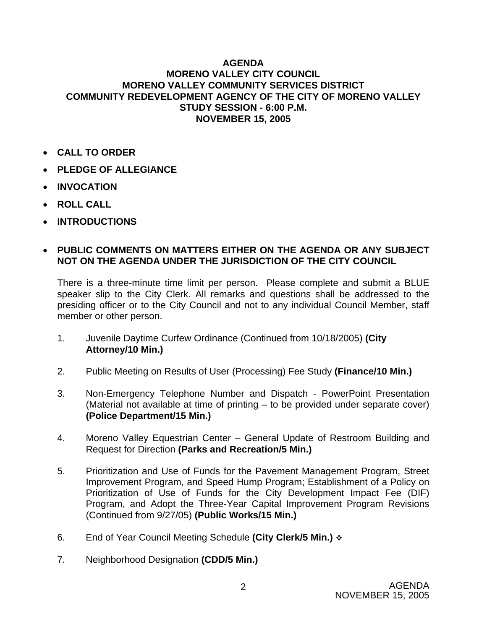## **AGENDA MORENO VALLEY CITY COUNCIL MORENO VALLEY COMMUNITY SERVICES DISTRICT COMMUNITY REDEVELOPMENT AGENCY OF THE CITY OF MORENO VALLEY STUDY SESSION - 6:00 P.M. NOVEMBER 15, 2005**

- **CALL TO ORDER**
- **PLEDGE OF ALLEGIANCE**
- **INVOCATION**
- **ROLL CALL**
- **INTRODUCTIONS**

## • **PUBLIC COMMENTS ON MATTERS EITHER ON THE AGENDA OR ANY SUBJECT NOT ON THE AGENDA UNDER THE JURISDICTION OF THE CITY COUNCIL**

There is a three-minute time limit per person. Please complete and submit a BLUE speaker slip to the City Clerk. All remarks and questions shall be addressed to the presiding officer or to the City Council and not to any individual Council Member, staff member or other person.

- 1. Juvenile Daytime Curfew Ordinance (Continued from 10/18/2005) **(City Attorney/10 Min.)**
- 2. Public Meeting on Results of User (Processing) Fee Study **(Finance/10 Min.)**
- 3. Non-Emergency Telephone Number and Dispatch PowerPoint Presentation (Material not available at time of printing – to be provided under separate cover) **(Police Department/15 Min.)**
- 4. Moreno Valley Equestrian Center General Update of Restroom Building and Request for Direction **(Parks and Recreation/5 Min.)**
- 5. Prioritization and Use of Funds for the Pavement Management Program, Street Improvement Program, and Speed Hump Program; Establishment of a Policy on Prioritization of Use of Funds for the City Development Impact Fee (DIF) Program, and Adopt the Three-Year Capital Improvement Program Revisions (Continued from 9/27/05) **(Public Works/15 Min.)**
- 6. End of Year Council Meeting Schedule **(City Clerk/5 Min.)**
- 7. Neighborhood Designation **(CDD/5 Min.)**